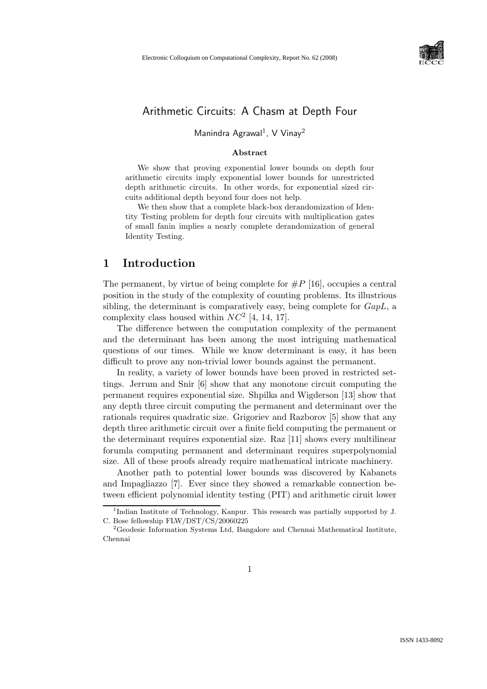

# Arithmetic Circuits: A Chasm at Depth Four

#### Manindra Agrawal<sup>1</sup>, V Vinay<sup>2</sup>

#### Abstract

We show that proving exponential lower bounds on depth four arithmetic circuits imply exponential lower bounds for unrestricted depth arithmetic circuits. In other words, for exponential sized circuits additional depth beyond four does not help.

We then show that a complete black-box derandomization of Identity Testing problem for depth four circuits with multiplication gates of small fanin implies a nearly complete derandomization of general Identity Testing.

### 1 Introduction

The permanent, by virtue of being complete for  $\#P$  [16], occupies a central position in the study of the complexity of counting problems. Its illustrious sibling, the determinant is comparatively easy, being complete for  $GapL$ , a complexity class housed within  $NC^2$  [4, 14, 17].

The difference between the computation complexity of the permanent and the determinant has been among the most intriguing mathematical questions of our times. While we know determinant is easy, it has been difficult to prove any non-trivial lower bounds against the permanent.

In reality, a variety of lower bounds have been proved in restricted settings. Jerrum and Snir [6] show that any monotone circuit computing the permanent requires exponential size. Shpilka and Wigderson [13] show that any depth three circuit computing the permanent and determinant over the rationals requires quadratic size. Grigoriev and Razborov [5] show that any depth three arithmetic circuit over a finite field computing the permanent or the determinant requires exponential size. Raz [11] shows every multilinear forumla computing permanent and determinant requires superpolynomial size. All of these proofs already require mathematical intricate machinery.

Another path to potential lower bounds was discovered by Kabanets and Impagliazzo [7]. Ever since they showed a remarkable connection between efficient polynomial identity testing (PIT) and arithmetic ciruit lower

<sup>&</sup>lt;sup>1</sup>Indian Institute of Technology, Kanpur. This research was partially supported by J. C. Bose fellowship FLW/DST/CS/20060225

<sup>&</sup>lt;sup>2</sup>Geodesic Information Systems Ltd, Bangalore and Chennai Mathematical Institute, Chennai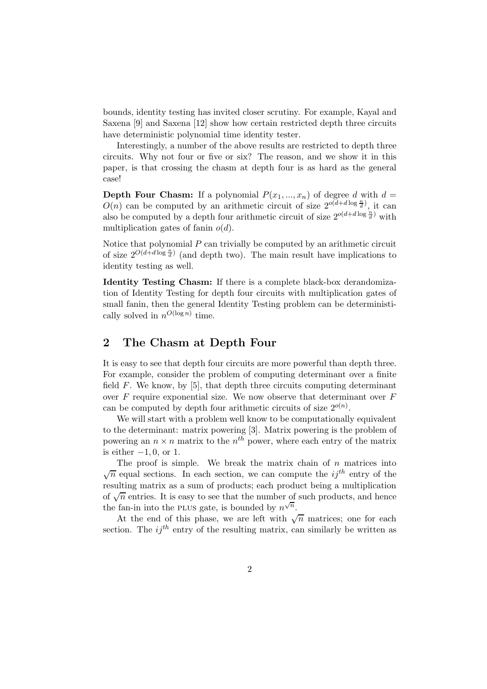bounds, identity testing has invited closer scrutiny. For example, Kayal and Saxena [9] and Saxena [12] show how certain restricted depth three circuits have deterministic polynomial time identity tester.

Interestingly, a number of the above results are restricted to depth three circuits. Why not four or five or six? The reason, and we show it in this paper, is that crossing the chasm at depth four is as hard as the general case!

**Depth Four Chasm:** If a polynomial  $P(x_1, ..., x_n)$  of degree d with  $d =$  $O(n)$  can be computed by an arithmetic circuit of size  $2^{o(d+d \log \frac{n}{d})}$ , it can also be computed by a depth four arithmetic circuit of size  $2^{o(d+d \log{\frac{n}{d}})}$  with multiplication gates of fanin  $o(d)$ .

Notice that polynomial  $P$  can trivially be computed by an arithmetic circuit of size  $2^{O(d+d \log \frac{n}{d})}$  (and depth two). The main result have implications to identity testing as well.

Identity Testing Chasm: If there is a complete black-box derandomization of Identity Testing for depth four circuits with multiplication gates of small fanin, then the general Identity Testing problem can be deterministically solved in  $n^{O(\log n)}$  time.

## 2 The Chasm at Depth Four

It is easy to see that depth four circuits are more powerful than depth three. For example, consider the problem of computing determinant over a finite field  $F$ . We know, by [5], that depth three circuits computing determinant over  $F$  require exponential size. We now observe that determinant over  $F$ can be computed by depth four arithmetic circuits of size  $2^{o(n)}$ .

We will start with a problem well know to be computationally equivalent to the determinant: matrix powering [3]. Matrix powering is the problem of powering an  $n \times n$  matrix to the  $n^{th}$  power, where each entry of the matrix is either  $-1, 0$ , or 1.

The proof is simple. We break the matrix chain of  $n$  matrices into  $\sqrt{n}$  equal sections. In each section, we can compute the  $ij^{th}$  entry of the resulting matrix as a sum of products; each product being a multiplication of  $\sqrt{n}$  entries. It is easy to see that the number of such products, and hence the fan-in into the PLUS gate, is bounded by  $n^{\sqrt{n}}$ .

At the end of this phase, we are left with  $\sqrt{n}$  matrices; one for each section. The  $ii^{th}$  entry of the resulting matrix, can similarly be written as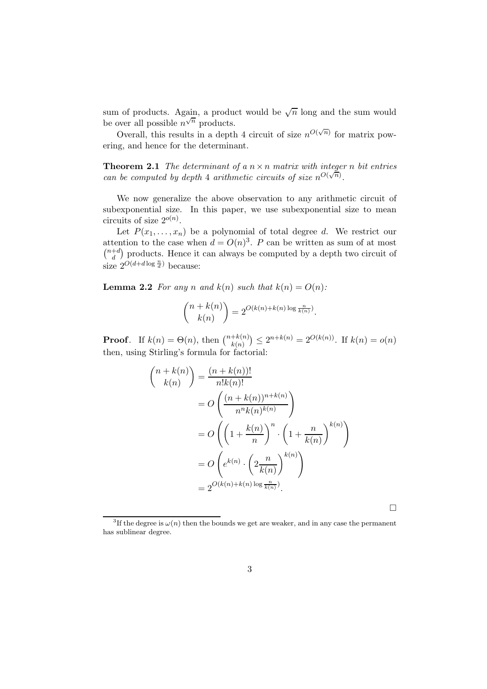sum of products. Again, a product would be  $\sqrt{n}$  long and the sum would be over all possible  $n^{\sqrt{n}}$  products.

Overall, this results in a depth 4 circuit of size  $n^{O(\sqrt{n})}$  for matrix powering, and hence for the determinant.

**Theorem 2.1** The determinant of a  $n \times n$  matrix with integer n bit entries can be computed by depth 4 arithmetic circuits of size  $n^{O(\sqrt{n})}$ .

We now generalize the above observation to any arithmetic circuit of subexponential size. In this paper, we use subexponential size to mean circuits of size  $2^{o(n)}$ .

Let  $P(x_1, \ldots, x_n)$  be a polynomial of total degree d. We restrict our attention to the case when  $d = O(n)^3$ . P can be written as sum of at most  $\binom{n+d}{d}$  $\binom{+d}{d}$  products. Hence it can always be computed by a depth two circuit of size  $2^{O(d+d \log \frac{n}{d})}$  because:

**Lemma 2.2** For any n and  $k(n)$  such that  $k(n) = O(n)$ :

$$
\binom{n+k(n)}{k(n)} = 2^{O(k(n)+k(n)\log\frac{n}{k(n)})}.
$$

**Proof.** If  $k(n) = \Theta(n)$ , then  $\binom{n+k(n)}{k(n)} \leq 2^{n+k(n)} = 2^{O(k(n))}$ . If  $k(n) = o(n)$ then, using Stirling's formula for factorial:

$$
\binom{n+k(n)}{k(n)} = \frac{(n+k(n))!}{n!k(n)!}
$$

$$
= O\left(\frac{(n+k(n))^{n+k(n)}}{n^k(n)^{k(n)}}\right)
$$

$$
= O\left(\left(1+\frac{k(n)}{n}\right)^n \cdot \left(1+\frac{n}{k(n)}\right)^{k(n)}\right)
$$

$$
= O\left(e^{k(n)} \cdot \left(2\frac{n}{k(n)}\right)^{k(n)}\right)
$$

$$
= 2^{O(k(n)+k(n)\log\frac{n}{k(n)}}.
$$

 $\Box$ 

<sup>&</sup>lt;sup>3</sup>If the degree is  $\omega(n)$  then the bounds we get are weaker, and in any case the permanent has sublinear degree.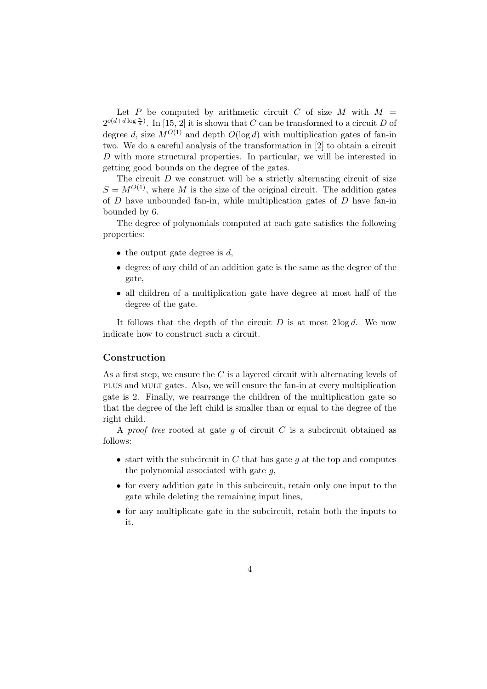Let P be computed by arithmetic circuit C of size M with  $M =$  $2^{o(d+d\log\frac{n}{d})}$ . In [15, 2] it is shown that C can be transformed to a circuit D of degree d, size  $M^{O(1)}$  and depth  $O(\log d)$  with multiplication gates of fan-in two. We do a careful analysis of the transformation in [2] to obtain a circuit D with more structural properties. In particular, we will be interested in getting good bounds on the degree of the gates.

The circuit  $D$  we construct will be a strictly alternating circuit of size  $S = M^{O(1)}$ , where M is the size of the original circuit. The addition gates of  $D$  have unbounded fan-in, while multiplication gates of  $D$  have fan-in bounded by 6.

The degree of polynomials computed at each gate satisfies the following properties:

- the output gate degree is  $d$ ,
- degree of any child of an addition gate is the same as the degree of the gate,
- all children of a multiplication gate have degree at most half of the degree of the gate.

It follows that the depth of the circuit  $D$  is at most  $2 \log d$ . We now indicate how to construct such a circuit.

#### Construction

As a first step, we ensure the  $C$  is a layered circuit with alternating levels of plus and mult gates. Also, we will ensure the fan-in at every multiplication gate is 2. Finally, we rearrange the children of the multiplication gate so that the degree of the left child is smaller than or equal to the degree of the right child.

A proof tree rooted at gate g of circuit  $C$  is a subcircuit obtained as follows:

- start with the subcircuit in  $C$  that has gate  $q$  at the top and computes the polynomial associated with gate  $q$ ,
- for every addition gate in this subcircuit, retain only one input to the gate while deleting the remaining input lines,
- for any multiplicate gate in the subcircuit, retain both the inputs to it.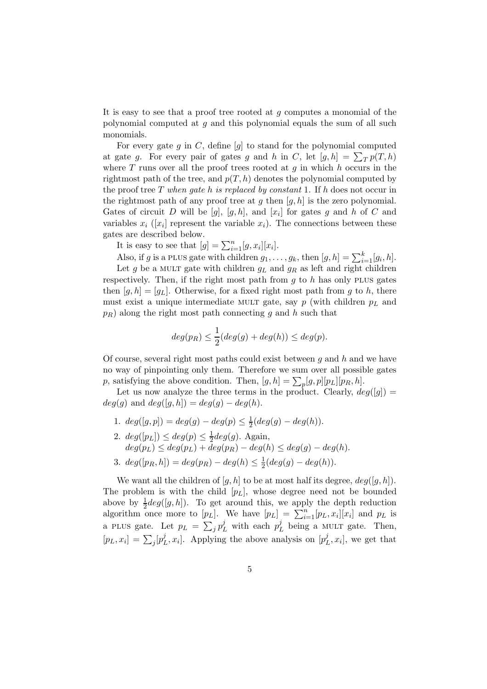It is easy to see that a proof tree rooted at  $q$  computes a monomial of the polynomial computed at  $q$  and this polynomial equals the sum of all such monomials.

For every gate g in  $C$ , define  $[g]$  to stand for the polynomial computed at gate g. For every pair of gates g and h in C, let  $[g,h] = \sum_{T} p(T,h)$ where  $T$  runs over all the proof trees rooted at  $g$  in which  $h$  occurs in the rightmost path of the tree, and  $p(T, h)$  denotes the polynomial computed by the proof tree T when gate h is replaced by constant 1. If h does not occur in the rightmost path of any proof tree at g then  $[g, h]$  is the zero polynomial. Gates of circuit D will be  $[g]$ ,  $[g,h]$ , and  $[x_i]$  for gates g and h of C and variables  $x_i$  ([ $x_i$ ] represent the variable  $x_i$ ). The connections between these gates are described below.

It is easy to see that  $[g] = \sum_{i=1}^{n} [g, x_i][x_i].$ 

Also, if g is a PLUS gate with children  $g_1, \ldots, g_k$ , then  $[g, h] = \sum_{i=1}^k [g_i, h]$ . Let g be a MULT gate with children  $g_L$  and  $g_R$  as left and right children respectively. Then, if the right most path from  $g$  to  $h$  has only PLUS gates then  $[g, h] = [g_L]$ . Otherwise, for a fixed right most path from g to h, there must exist a unique intermediate MULT gate, say  $p$  (with children  $p<sub>L</sub>$  and  $p_R$ ) along the right most path connecting g and h such that

$$
deg(p_R) \leq \frac{1}{2}(deg(g) + deg(h)) \leq deg(p).
$$

Of course, several right most paths could exist between  $q$  and  $h$  and we have no way of pinpointing only them. Therefore we sum over all possible gates p, satisfying the above condition. Then,  $[g,h] = \sum_{p} [g,p][p_L][p_R,h]$ .

Let us now analyze the three terms in the product. Clearly,  $deg([g]) =$  $deg(q)$  and  $deg([q, h]) = deg(q) - deg(h)$ .

- 1.  $deg([g, p]) = deg(g) deg(p) \leq \frac{1}{2}(deg(g) deg(h)).$
- 2.  $deg([p_L]) \leq deg(p) \leq \frac{1}{2}$  $\frac{1}{2}$ deg(g). Again,  $deg(p_L) \leq deg(p_L) + deg(p_R) - deg(h) \leq deg(g) - deg(h).$
- 3.  $deg([p_R, h]) = deg(p_R) deg(h) \leq \frac{1}{2}$  $\frac{1}{2}(deg(g) - deg(h)).$

We want all the children of  $[q, h]$  to be at most half its degree,  $deg([q, h])$ . The problem is with the child  $[p_L]$ , whose degree need not be bounded above by  $\frac{1}{2}deg([g,h])$ . To get around this, we apply the depth reduction algorithm once more to  $[p_L]$ . We have  $[p_L] = \sum_{i=1}^n [p_L, x_i][x_i]$  and  $p_L$  is a PLUS gate. Let  $p_L = \sum_j p_L^j$  with each  $p_L^j$  $L<sup>j</sup>$  being a MULT gate. Then,  $[p_L, x_i] = \sum_j [p_L^j]$  $L<sup>j</sup>$ ,  $x<sub>i</sub>$ ]. Applying the above analysis on  $[p<sub>1</sub><sup>j</sup>]$  $_{L}^{j}, x_{i}$ , we get that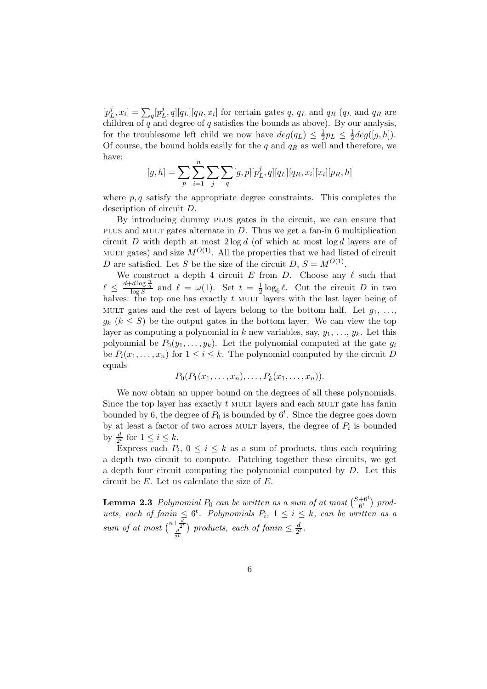$[p]$  $[L, x_i] = \sum_q [p_l^j]$  $\int_L^{\jmath} q_I[\bar{q}_R, x_i]$  for certain gates  $q, q_L$  and  $q_R$  ( $q_L$  and  $q_R$  are children of  $q$  and degree of  $q$  satisfies the bounds as above). By our analysis, for the troublesome left child we now have  $deg(q_L) \leq \frac{1}{2}$  $\frac{1}{2}p_L \leq \frac{1}{2}$  $\frac{1}{2}$ deg([g, h]). Of course, the bound holds easily for the q and  $q_R$  as well and therefore, we have:

$$
[g,h] = \sum_{p} \sum_{i=1}^{n} \sum_{j} \sum_{q} [g,p][p_L^j,q][q_L][q_R,x_i][x_i][p_R,h]
$$

where  $p, q$  satisfy the appropriate degree constraints. This completes the description of circuit D.

By introducing dummy plus gates in the circuit, we can ensure that plus and mult gates alternate in D. Thus we get a fan-in 6 multiplication circuit  $D$  with depth at most  $2 \log d$  (of which at most  $\log d$  layers are of MULT gates) and size  $M^{O(1)}$ . All the properties that we had listed of circuit D are satisfied. Let S be the size of the circuit  $D, S = M^{O(1)}$ .

We construct a depth 4 circuit E from D. Choose any  $\ell$  such that  $\ell \leq \frac{d+d \log \frac{n}{d}}{\log S}$  and  $\ell = \omega(1)$ . Set  $t = \frac{1}{2}$  $\frac{1}{2} \log_6 \ell$ . Cut the circuit D in two halves: the top one has exactly  $t$  MULT layers with the last layer being of MULT gates and the rest of layers belong to the bottom half. Let  $g_1, \ldots,$  $g_k$   $(k \leq S)$  be the output gates in the bottom layer. We can view the top layer as computing a polynomial in k new variables, say,  $y_1, \ldots, y_k$ . Let this polyonmial be  $P_0(y_1, \ldots, y_k)$ . Let the polynomial computed at the gate  $g_i$ be  $P_i(x_1, \ldots, x_n)$  for  $1 \leq i \leq k$ . The polynomial computed by the circuit D equals

$$
P_0(P_1(x_1,\ldots,x_n),\ldots,P_k(x_1,\ldots,x_n)).
$$

We now obtain an upper bound on the degrees of all these polynomials. Since the top layer has exactly t MULT layers and each MULT gate has fanin bounded by 6, the degree of  $P_0$  is bounded by  $6^t$ . Since the degree goes down by at least a factor of two across MULT layers, the degree of  $P_i$  is bounded by  $\frac{d}{2^t}$  for  $1 \leq i \leq k$ .

Express each  $P_i$ ,  $0 \leq i \leq k$  as a sum of products, thus each requiring a depth two circuit to compute. Patching together these circuits, we get a depth four circuit computing the polynomial computed by  $D$ . Let this circuit be E. Let us calculate the size of E.

**Lemma 2.3** Polynomial  $P_0$  can be written as a sum of at most  $\binom{S+6^t}{6^t}$  $_{6t}^{+6}$ <sup>o</sup> products, each of fanin  $\leq 6^t$ . Polynomials  $P_i$ ,  $1 \leq i \leq k$ , can be written as a sum of at most  $\binom{n+\frac{d}{2^t}}{\frac{d}{2^t}}$ ) products, each of fanin  $\leq \frac{d}{2^l}$  $\frac{d}{2^t}$ .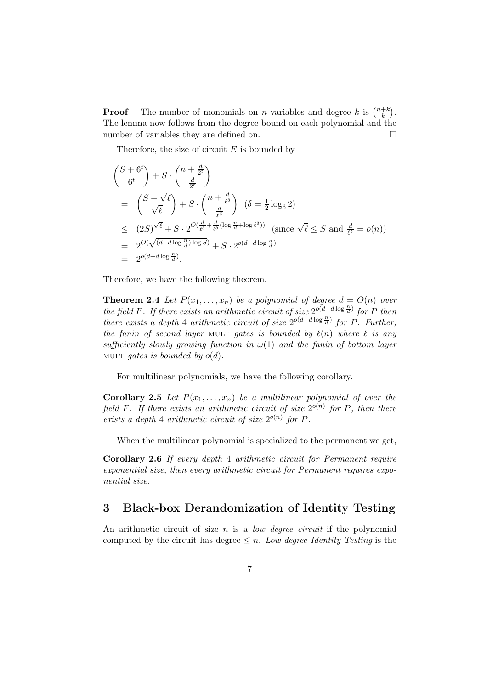**Proof.** The number of monomials on *n* variables and degree k is  $\binom{n+k}{k}$  $\binom{+k}{k}$ . The lemma now follows from the degree bound on each polynomial and the number of variables they are defined on.

Therefore, the size of circuit  $E$  is bounded by

$$
\begin{aligned}\n\binom{S+6^t}{6^t} + S \cdot \binom{n+\frac{d}{2^t}}{\frac{d}{2^t}} \\
&= \binom{S+\sqrt{\ell}}{\sqrt{\ell}} + S \cdot \binom{n+\frac{d}{\ell^5}}{\frac{d}{\ell^5}} (\delta = \frac{1}{2} \log_6 2) \\
&\leq (2S)^{\sqrt{\ell}} + S \cdot 2^{O(\frac{d}{\ell^5} + \frac{d}{\ell^5} (\log \frac{n}{d} + \log \ell^5))} \text{ (since } \sqrt{\ell} \leq S \text{ and } \frac{d}{\ell^5} = o(n)) \\
&= 2^{O(\sqrt{(d+d \log \frac{n}{d}) \log S)}} + S \cdot 2^{O(d+d \log \frac{n}{d})} \\
&= 2^{o(d+d \log \frac{n}{d})}.\n\end{aligned}
$$

Therefore, we have the following theorem.

**Theorem 2.4** Let  $P(x_1, \ldots, x_n)$  be a polynomial of degree  $d = O(n)$  over the field F. If there exists an arithmetic circuit of size  $2^{o(d+d \log \frac{n}{d})}$  for P then there exists a depth 4 arithmetic circuit of size  $2^{o(d+d \log \frac{n}{d})}$  for P. Further, the fanin of second layer MULT gates is bounded by  $\ell(n)$  where  $\ell$  is any sufficiently slowly growing function in  $\omega(1)$  and the fanin of bottom layer MULT gates is bounded by  $o(d)$ .

For multilinear polynomials, we have the following corollary.

**Corollary 2.5** Let  $P(x_1, \ldots, x_n)$  be a multilinear polynomial of over the field F. If there exists an arithmetic circuit of size  $2^{o(n)}$  for P, then there exists a depth 4 arithmetic circuit of size  $2^{o(n)}$  for P.

When the multilinear polynomial is specialized to the permanent we get,

Corollary 2.6 If every depth 4 arithmetic circuit for Permanent require exponential size, then every arithmetic circuit for Permanent requires exponential size.

#### 3 Black-box Derandomization of Identity Testing

An arithmetic circuit of size  $n$  is a *low degree circuit* if the polynomial computed by the circuit has degree  $\leq n$ . Low degree Identity Testing is the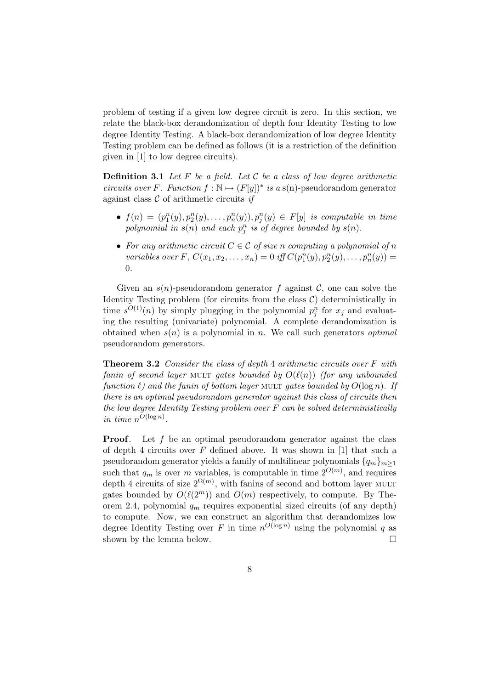problem of testing if a given low degree circuit is zero. In this section, we relate the black-box derandomization of depth four Identity Testing to low degree Identity Testing. A black-box derandomization of low degree Identity Testing problem can be defined as follows (it is a restriction of the definition given in [1] to low degree circuits).

**Definition 3.1** Let F be a field. Let C be a class of low degree arithmetic circuits over F. Function  $f : \mathbb{N} \mapsto (F[y])^*$  is a s(n)-pseudorandom generator against class  $C$  of arithmetic circuits if

- $f(n) = (p_1^n(y), p_2^n(y), \ldots, p_n^n(y)), p_j^n(y) \in F[y]$  is computable in time polynomial in  $s(n)$  and each  $p_j^n$  is of degree bounded by  $s(n)$ .
- For any arithmetic circuit  $C \in \mathcal{C}$  of size n computing a polynomial of n variables over F,  $C(x_1, x_2,...,x_n) = 0$  iff  $C(p_1^n(y), p_2^n(y),..., p_n^n(y)) =$ 0.

Given an  $s(n)$ -pseudorandom generator f against C, one can solve the Identity Testing problem (for circuits from the class  $C$ ) deterministically in time  $s^{O(1)}(n)$  by simply plugging in the polynomial  $p_j^n$  for  $x_j$  and evaluating the resulting (univariate) polynomial. A complete derandomization is obtained when  $s(n)$  is a polynomial in n. We call such generators *optimal* pseudorandom generators.

Theorem 3.2 Consider the class of depth 4 arithmetic circuits over F with fanin of second layer MULT gates bounded by  $O(\ell(n))$  (for any unbounded function  $\ell$ ) and the fanin of bottom layer MULT gates bounded by  $O(\log n)$ . If there is an optimal pseudorandom generator against this class of circuits then the low degree Identity Testing problem over F can be solved deterministically in time  $n^{O(\log n)}$ .

**Proof.** Let f be an optimal pseudorandom generator against the class of depth 4 circuits over  $F$  defined above. It was shown in [1] that such a pseudorandom generator yields a family of multilinear polynomials  ${q_m}_{m>1}$ such that  $q_m$  is over m variables, is computable in time  $2^{O(m)}$ , and requires depth 4 circuits of size  $2^{\Omega(m)}$ , with fanins of second and bottom layer MULT gates bounded by  $O(\ell(2^m))$  and  $O(m)$  respectively, to compute. By Theorem 2.4, polynomial  $q_m$  requires exponential sized circuits (of any depth) to compute. Now, we can construct an algorithm that derandomizes low degree Identity Testing over F in time  $n^{O(\log n)}$  using the polynomial q as shown by the lemma below.  $\Box$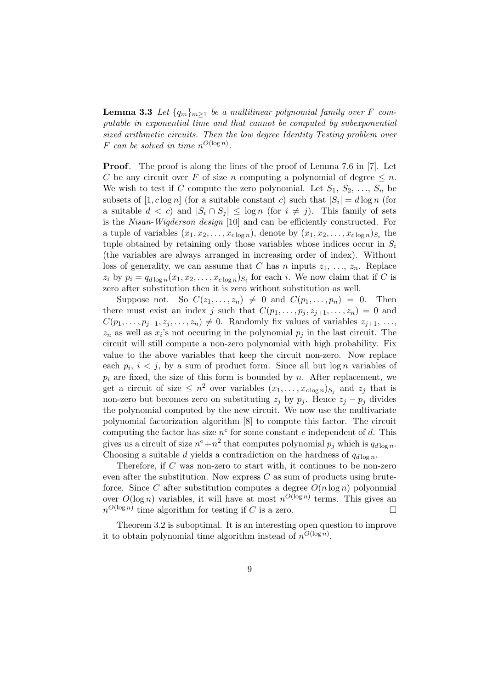**Lemma 3.3** Let  $\{q_m\}_{m>1}$  be a multilinear polynomial family over F computable in exponential time and that cannot be computed by subexponential sized arithmetic circuits. Then the low degree Identity Testing problem over F can be solved in time  $n^{O(\log n)}$ .

Proof. The proof is along the lines of the proof of Lemma 7.6 in [7]. Let C be any circuit over F of size n computing a polynomial of degree  $\leq n$ . We wish to test if C compute the zero polynomial. Let  $S_1, S_2, \ldots, S_n$  be subsets of  $[1, c \log n]$  (for a suitable constant c) such that  $|S_i| = d \log n$  (for a suitable  $d < c$ ) and  $|S_i \cap S_j| \leq \log n$  (for  $i \neq j$ ). This family of sets is the Nisan-Wigderson design [10] and can be efficiently constructed. For a tuple of variables  $(x_1, x_2, \ldots, x_{c \log n})$ , denote by  $(x_1, x_2, \ldots, x_{c \log n})_{S_i}$  the tuple obtained by retaining only those variables whose indices occur in  $S_i$ (the variables are always arranged in increasing order of index). Without loss of generality, we can assume that C has n inputs  $z_1, \ldots, z_n$ . Replace  $z_i$  by  $p_i = q_{d \log n}(x_1, x_2, \dots, x_{c \log n})_{S_i}$  for each *i*. We now claim that if C is zero after substitution then it is zero without substitution as well.

Suppose not. So  $C(z_1, \ldots, z_n) \neq 0$  and  $C(p_1, \ldots, p_n) = 0$ . Then there must exist an index j such that  $C(p_1, \ldots, p_j, z_{j+1}, \ldots, z_n) = 0$  and  $C(p_1, \ldots, p_{j-1}, z_j, \ldots, z_n) \neq 0$ . Randomly fix values of variables  $z_{j+1}, \ldots,$  $z_n$  as well as  $x_i$ 's not occuring in the polynomial  $p_j$  in the last circuit. The circuit will still compute a non-zero polynomial with high probability. Fix value to the above variables that keep the circuit non-zero. Now replace each  $p_i$ ,  $i < j$ , by a sum of product form. Since all but  $\log n$  variables of  $p_i$  are fixed, the size of this form is bounded by n. After replacement, we get a circuit of size  $\leq n^2$  over variables  $(x_1, \ldots, x_{c \log n})_{S_j}$  and  $z_j$  that is non-zero but becomes zero on substituting  $z_j$  by  $p_j$ . Hence  $z_j - p_j$  divides the polynomial computed by the new circuit. We now use the multivariate polynomial factorization algorithm [8] to compute this factor. The circuit computing the factor has size  $n^e$  for some constant e independent of d. This gives us a circuit of size  $n^e + n^2$  that computes polynomial  $p_j$  which is  $q_{d \log n}$ . Choosing a suitable d yields a contradiction on the hardness of  $q_{d \log n}$ .

Therefore, if C was non-zero to start with, it continues to be non-zero even after the substitution. Now express  $C$  as sum of products using bruteforce. Since C after substitution computes a degree  $O(n \log n)$  polyonmial over  $O(\log n)$  variables, it will have at most  $n^{O(\log n)}$  terms. This gives an  $n^{O(\log n)}$  time algorithm for testing if C is a zero.

Theorem 3.2 is suboptimal. It is an interesting open question to improve it to obtain polynomial time algorithm instead of  $n^{O(\log n)}$ .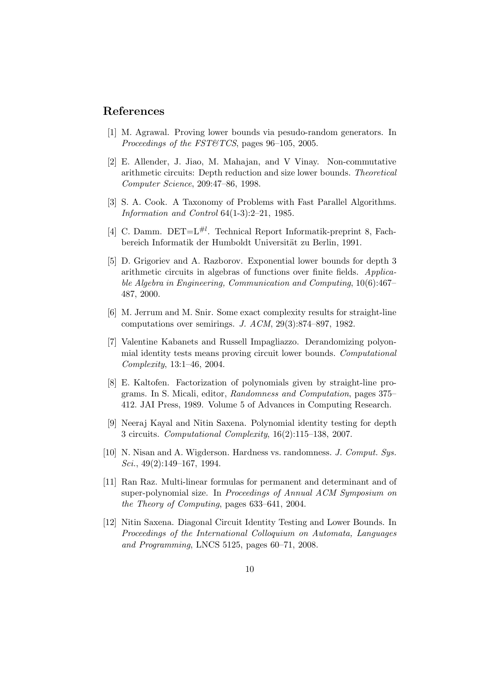### References

- [1] M. Agrawal. Proving lower bounds via pesudo-random generators. In Proceedings of the FST&TCS, pages 96–105, 2005.
- [2] E. Allender, J. Jiao, M. Mahajan, and V Vinay. Non-commutative arithmetic circuits: Depth reduction and size lower bounds. Theoretical Computer Science, 209:47–86, 1998.
- [3] S. A. Cook. A Taxonomy of Problems with Fast Parallel Algorithms. Information and Control 64(1-3):2–21, 1985.
- [4] C. Damm. DET= $L^{\#l}$ . Technical Report Informatik-preprint 8, Fachbereich Informatik der Humboldt Universität zu Berlin, 1991.
- [5] D. Grigoriev and A. Razborov. Exponential lower bounds for depth 3 arithmetic circuits in algebras of functions over finite fields. Applicable Algebra in Engineering, Communication and Computing, 10(6):467– 487, 2000.
- [6] M. Jerrum and M. Snir. Some exact complexity results for straight-line computations over semirings. J. ACM, 29(3):874–897, 1982.
- [7] Valentine Kabanets and Russell Impagliazzo. Derandomizing polyonmial identity tests means proving circuit lower bounds. Computational Complexity, 13:1–46, 2004.
- [8] E. Kaltofen. Factorization of polynomials given by straight-line programs. In S. Micali, editor, Randomness and Computation, pages 375– 412. JAI Press, 1989. Volume 5 of Advances in Computing Research.
- [9] Neeraj Kayal and Nitin Saxena. Polynomial identity testing for depth 3 circuits. Computational Complexity, 16(2):115–138, 2007.
- [10] N. Nisan and A. Wigderson. Hardness vs. randomness. J. Comput. Sys. Sci.,  $49(2):149-167$ , 1994.
- [11] Ran Raz. Multi-linear formulas for permanent and determinant and of super-polynomial size. In Proceedings of Annual ACM Symposium on the Theory of Computing, pages 633–641, 2004.
- [12] Nitin Saxena. Diagonal Circuit Identity Testing and Lower Bounds. In Proceedings of the International Colloquium on Automata, Languages and Programming, LNCS 5125, pages 60–71, 2008.